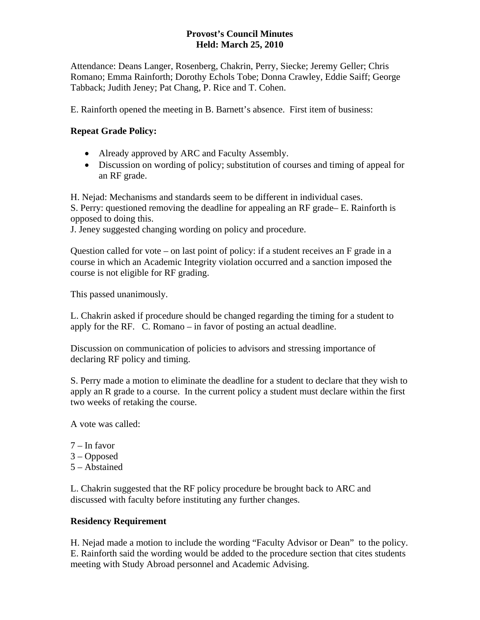### **Provost's Council Minutes Held: March 25, 2010**

Attendance: Deans Langer, Rosenberg, Chakrin, Perry, Siecke; Jeremy Geller; Chris Romano; Emma Rainforth; Dorothy Echols Tobe; Donna Crawley, Eddie Saiff; George Tabback; Judith Jeney; Pat Chang, P. Rice and T. Cohen.

E. Rainforth opened the meeting in B. Barnett's absence. First item of business:

# **Repeat Grade Policy:**

- Already approved by ARC and Faculty Assembly.
- Discussion on wording of policy; substitution of courses and timing of appeal for an RF grade.

H. Nejad: Mechanisms and standards seem to be different in individual cases.

S. Perry: questioned removing the deadline for appealing an RF grade– E. Rainforth is opposed to doing this.

J. Jeney suggested changing wording on policy and procedure.

Question called for vote – on last point of policy: if a student receives an F grade in a course in which an Academic Integrity violation occurred and a sanction imposed the course is not eligible for RF grading.

This passed unanimously.

L. Chakrin asked if procedure should be changed regarding the timing for a student to apply for the RF. C. Romano – in favor of posting an actual deadline.

Discussion on communication of policies to advisors and stressing importance of declaring RF policy and timing.

S. Perry made a motion to eliminate the deadline for a student to declare that they wish to apply an R grade to a course. In the current policy a student must declare within the first two weeks of retaking the course.

A vote was called:

- 7 In favor
- 3 Opposed
- 5 Abstained

L. Chakrin suggested that the RF policy procedure be brought back to ARC and discussed with faculty before instituting any further changes.

### **Residency Requirement**

H. Nejad made a motion to include the wording "Faculty Advisor or Dean" to the policy. E. Rainforth said the wording would be added to the procedure section that cites students meeting with Study Abroad personnel and Academic Advising.